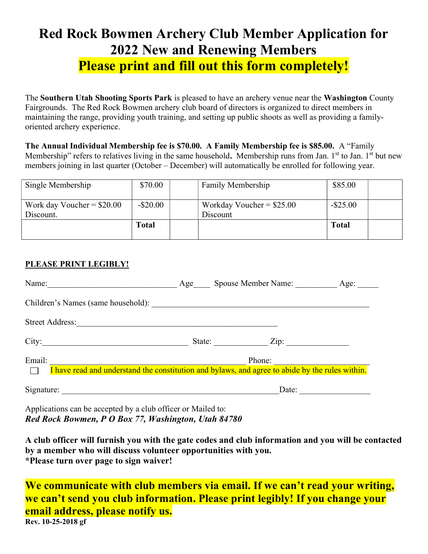# Red Rock Bowmen Archery Club Member Application for 2022 New and Renewing Members Please print and fill out this form completely!

The Southern Utah Shooting Sports Park is pleased to have an archery venue near the Washington County Fairgrounds. The Red Rock Bowmen archery club board of directors is organized to direct members in maintaining the range, providing youth training, and setting up public shoots as well as providing a familyoriented archery experience.

The Annual Individual Membership fee is \$70.00. A Family Membership fee is \$85.00. A "Family Membership" refers to relatives living in the same household. Membership runs from Jan. 1<sup>st</sup> to Jan. 1<sup>st</sup> but new members joining in last quarter (October – December) will automatically be enrolled for following year.

| Single Membership                        | \$70.00     | Family Membership                      | \$85.00      |  |
|------------------------------------------|-------------|----------------------------------------|--------------|--|
| Work day Voucher $= $20.00$<br>Discount. | $-$ \$20.00 | Workday Voucher = $$25.00$<br>Discount | $-$ \$25.00  |  |
|                                          | Total       |                                        | <b>Total</b> |  |

## PLEASE PRINT LEGIBLY!

| Name:                              | Age                                                                                                       | Spouse Member Name: | Age: |  |  |
|------------------------------------|-----------------------------------------------------------------------------------------------------------|---------------------|------|--|--|
| Children's Names (same household): |                                                                                                           |                     |      |  |  |
| <b>Street Address:</b>             |                                                                                                           |                     |      |  |  |
| City:                              |                                                                                                           | Zip:<br>State:      |      |  |  |
| Email:                             | Phone:<br>I have read and understand the constitution and bylaws, and agree to abide by the rules within. |                     |      |  |  |
| Signature:                         |                                                                                                           | Date:               |      |  |  |

Applications can be accepted by a club officer or Mailed to: Red Rock Bowmen, P O Box 77, Washington, Utah 84780

A club officer will furnish you with the gate codes and club information and you will be contacted by a member who will discuss volunteer opportunities with you. \*Please turn over page to sign waiver!

We communicate with club members via email. If we can't read your writing, we can't send you club information. Please print legibly! If you change your email address, please notify us.

Rev. 10-25-2018 gf